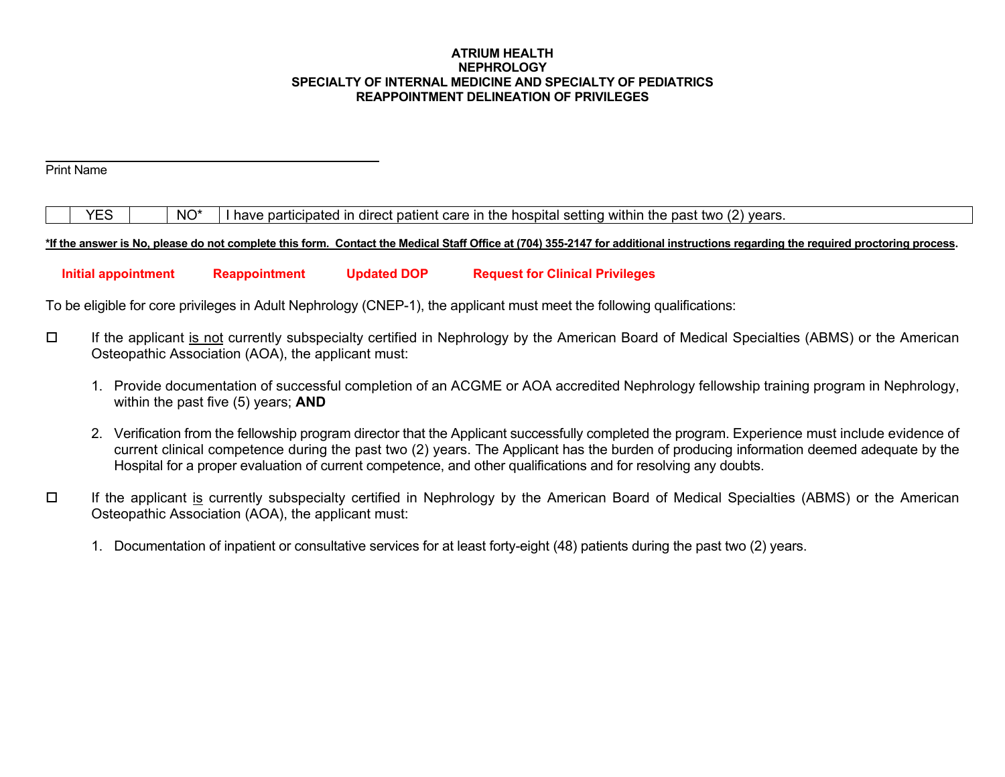#### **ATRIUM HEALTH NEPHROLOGY SPECIALTY OF INTERNAL MEDICINE AND SPECIALTY OF PEDIATRICS REAPPOINTMENT DELINEATION OF PRIVILEGES**

# Print Name

 $YES$   $\parallel$  NO<sup>\*</sup> I have participated in direct patient care in the hospital setting within the past two (2) years.

**\*If the answer is No, please do not complete this form. Contact the Medical Staff Office at (704) 355-2147 for additional instructions regarding the required proctoring process.** 

 **Initial appointment Reappointment Updated DOP Request for Clinical Privileges** 

To be eligible for core privileges in Adult Nephrology (CNEP-1), the applicant must meet the following qualifications:

- If the applicant is not currently subspecialty certified in Nephrology by the American Board of Medical Specialties (ABMS) or the American Osteopathic Association (AOA), the applicant must:
	- 1. Provide documentation of successful completion of an ACGME or AOA accredited Nephrology fellowship training program in Nephrology, within the past five (5) years; **AND**
	- 2. Verification from the fellowship program director that the Applicant successfully completed the program. Experience must include evidence of current clinical competence during the past two (2) years. The Applicant has the burden of producing information deemed adequate by the Hospital for a proper evaluation of current competence, and other qualifications and for resolving any doubts.
- $\Box$  If the applicant is currently subspecialty certified in Nephrology by the American Board of Medical Specialties (ABMS) or the American Osteopathic Association (AOA), the applicant must:
	- 1. Documentation of inpatient or consultative services for at least forty-eight (48) patients during the past two (2) years.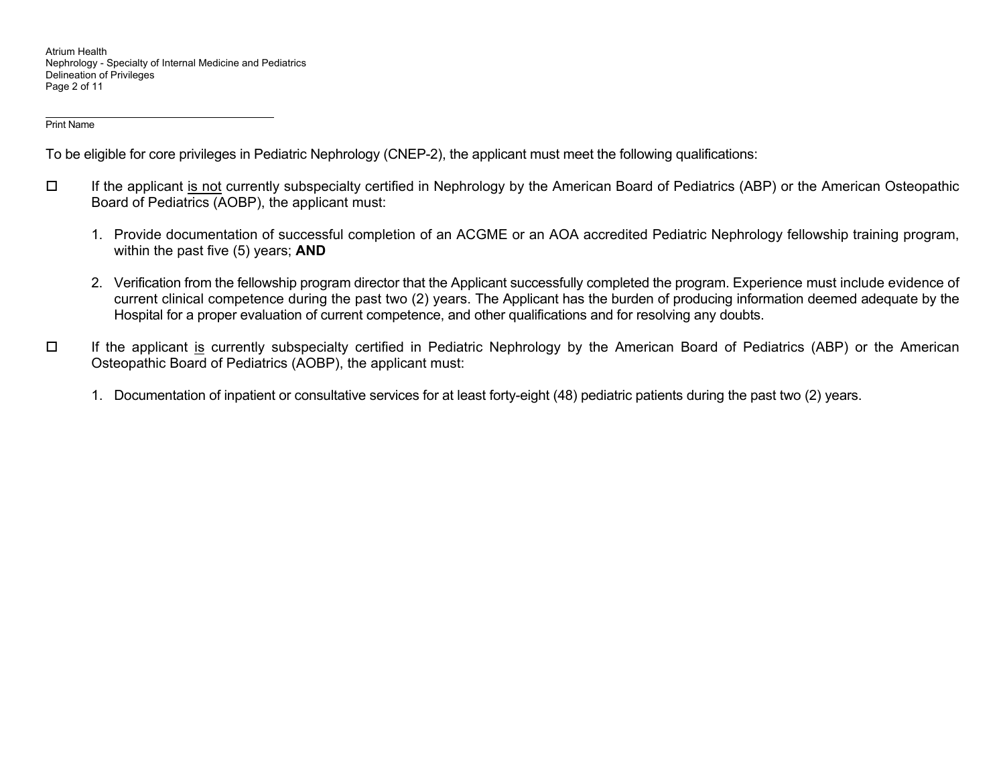Atrium Health Nephrology - Specialty of Internal Medicine and Pediatrics Delineation of Privileges Page 2 of 11

Print Name

To be eligible for core privileges in Pediatric Nephrology (CNEP-2), the applicant must meet the following qualifications:

- If the applicant is not currently subspecialty certified in Nephrology by the American Board of Pediatrics (ABP) or the American Osteopathic Board of Pediatrics (AOBP), the applicant must:
	- 1. Provide documentation of successful completion of an ACGME or an AOA accredited Pediatric Nephrology fellowship training program, within the past five (5) years; **AND**
	- 2. Verification from the fellowship program director that the Applicant successfully completed the program. Experience must include evidence of current clinical competence during the past two (2) years. The Applicant has the burden of producing information deemed adequate by the Hospital for a proper evaluation of current competence, and other qualifications and for resolving any doubts.
- $\Box$  If the applicant is currently subspecialty certified in Pediatric Nephrology by the American Board of Pediatrics (ABP) or the American Osteopathic Board of Pediatrics (AOBP), the applicant must:
	- 1. Documentation of inpatient or consultative services for at least forty-eight (48) pediatric patients during the past two (2) years.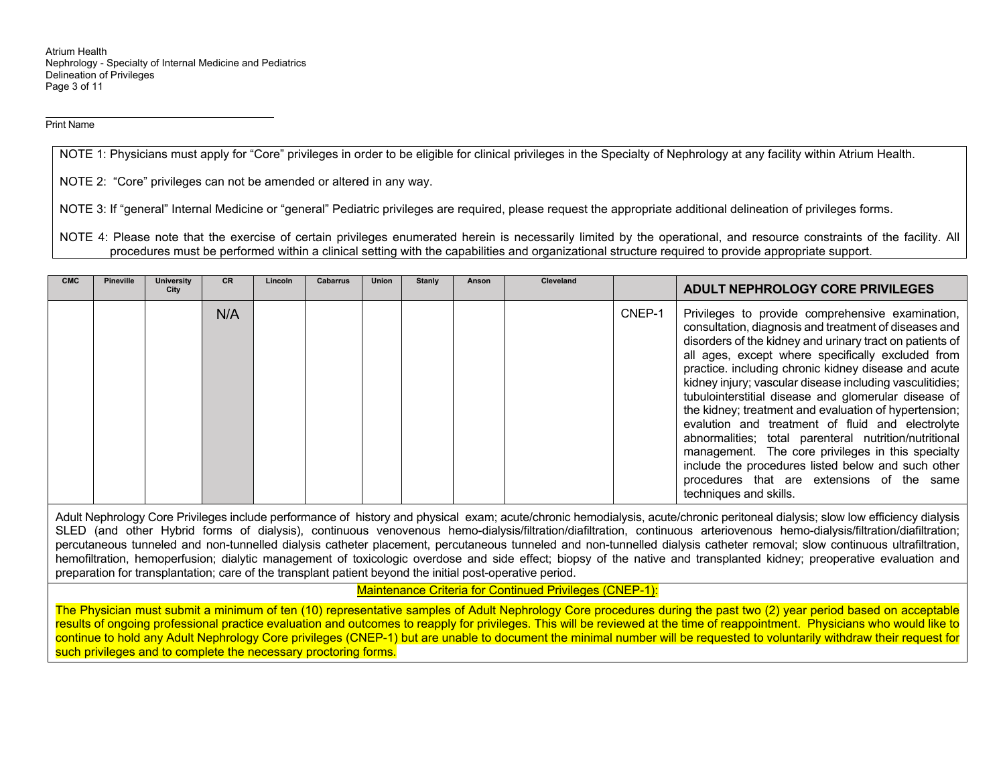Atrium Health Nephrology - Specialty of Internal Medicine and Pediatrics Delineation of Privileges Page 3 of 11

Print Name

NOTE 1: Physicians must apply for "Core" privileges in order to be eligible for clinical privileges in the Specialty of Nephrology at any facility within Atrium Health.

NOTE 2: "Core" privileges can not be amended or altered in any way.

NOTE 3: If "general" Internal Medicine or "general" Pediatric privileges are required, please request the appropriate additional delineation of privileges forms.

NOTE 4: Please note that the exercise of certain privileges enumerated herein is necessarily limited by the operational, and resource constraints of the facility. All procedures must be performed within a clinical setting with the capabilities and organizational structure required to provide appropriate support.

| <b>CMC</b> | <b>Pineville</b> | University<br>City | <b>CR</b> | Lincoln | <b>Cabarrus</b> | <b>Union</b> | <b>Stanly</b> | Anson | <b>Cleveland</b> |        | <b>ADULT NEPHROLOGY CORE PRIVILEGES</b>                                                                                                                                                                                                                                                                                                                                                                                                                                                                                                                                                                                                                                                                                                                         |
|------------|------------------|--------------------|-----------|---------|-----------------|--------------|---------------|-------|------------------|--------|-----------------------------------------------------------------------------------------------------------------------------------------------------------------------------------------------------------------------------------------------------------------------------------------------------------------------------------------------------------------------------------------------------------------------------------------------------------------------------------------------------------------------------------------------------------------------------------------------------------------------------------------------------------------------------------------------------------------------------------------------------------------|
|            |                  |                    | N/A       |         |                 |              |               |       |                  | CNEP-1 | Privileges to provide comprehensive examination,<br>consultation, diagnosis and treatment of diseases and<br>disorders of the kidney and urinary tract on patients of<br>all ages, except where specifically excluded from<br>practice. including chronic kidney disease and acute<br>kidney injury; vascular disease including vasculitidies;<br>tubulointerstitial disease and glomerular disease of<br>the kidney; treatment and evaluation of hypertension;<br>evalution and treatment of fluid and electrolyte<br>abnormalities; total parenteral nutrition/nutritional<br>management. The core privileges in this specialty<br>include the procedures listed below and such other<br>procedures that are extensions of the same<br>techniques and skills. |

Adult Nephrology Core Privileges include performance of history and physical exam; acute/chronic hemodialysis, acute/chronic peritoneal dialysis; slow low efficiency dialysis SLED (and other Hybrid forms of dialysis), continuous venovenous hemo-dialysis/filtration/diafiltration, continuous arteriovenous hemo-dialysis/filtration/diafiltration; percutaneous tunneled and non-tunnelled dialysis catheter placement, percutaneous tunneled and non-tunnelled dialysis catheter removal; slow continuous ultrafiltration, hemofiltration, hemoperfusion; dialytic management of toxicologic overdose and side effect; biopsy of the native and transplanted kidney; preoperative evaluation and preparation for transplantation; care of the transplant patient beyond the initial post-operative period.

Maintenance Criteria for Continued Privileges (CNEP-1):

The Physician must submit a minimum of ten (10) representative samples of Adult Nephrology Core procedures during the past two (2) year period based on acceptable results of ongoing professional practice evaluation and outcomes to reapply for privileges. This will be reviewed at the time of reappointment. Physicians who would like to continue to hold any Adult Nephrology Core privileges (CNEP-1) but are unable to document the minimal number will be requested to voluntarily withdraw their request for such privileges and to complete the necessary proctoring forms.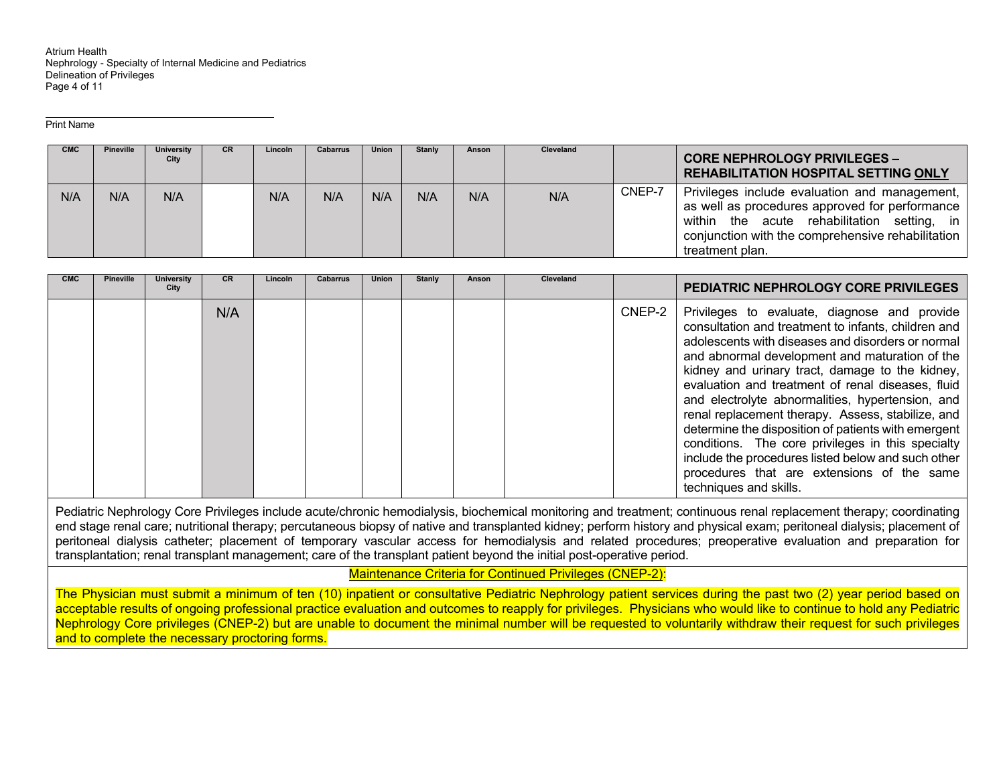Atrium Health Nephrology - Specialty of Internal Medicine and Pediatrics Delineation of Privileges Page 4 of 11

Print Name

| <b>CMC</b> | Pineville | <b>University</b><br>City | <b>CR</b> | Lincoln | <b>Cabarrus</b> | <b>Union</b> | Stanly | Anson | Cleveland |        | <b>CORE NEPHROLOGY PRIVILEGES -</b><br><b>REHABILITATION HOSPITAL SETTING ONLY</b>                                                                                                                                     |
|------------|-----------|---------------------------|-----------|---------|-----------------|--------------|--------|-------|-----------|--------|------------------------------------------------------------------------------------------------------------------------------------------------------------------------------------------------------------------------|
| N/A        | N/A       | N/A                       |           | N/A     | N/A             | N/A          | N/A    | N/A   | N/A       | CNEP-7 | Privileges include evaluation and management,<br>as well as procedures approved for performance<br>within the acute rehabilitation setting, in<br>conjunction with the comprehensive rehabilitation<br>treatment plan. |

| <b>CMC</b> | Pineville | <b>University</b><br>City | <b>CR</b> | Lincoln | <b>Cabarrus</b> | Union | <b>Stanly</b> | Anson | <b>Cleveland</b> |        | <b>PEDIATRIC NEPHROLOGY CORE PRIVILEGES</b>                                                                                                                                                                                                                                                                                                                                                                                                                                                                                                                                                                                                                           |
|------------|-----------|---------------------------|-----------|---------|-----------------|-------|---------------|-------|------------------|--------|-----------------------------------------------------------------------------------------------------------------------------------------------------------------------------------------------------------------------------------------------------------------------------------------------------------------------------------------------------------------------------------------------------------------------------------------------------------------------------------------------------------------------------------------------------------------------------------------------------------------------------------------------------------------------|
|            |           |                           | N/A       |         |                 |       |               |       |                  | CNEP-2 | Privileges to evaluate, diagnose and provide<br>consultation and treatment to infants, children and<br>adolescents with diseases and disorders or normal<br>and abnormal development and maturation of the<br>kidney and urinary tract, damage to the kidney,<br>evaluation and treatment of renal diseases, fluid<br>and electrolyte abnormalities, hypertension, and<br>renal replacement therapy. Assess, stabilize, and<br>determine the disposition of patients with emergent<br>conditions. The core privileges in this specialty<br>include the procedures listed below and such other<br>procedures that are extensions of the same<br>techniques and skills. |

Pediatric Nephrology Core Privileges include acute/chronic hemodialysis, biochemical monitoring and treatment; continuous renal replacement therapy; coordinating end stage renal care; nutritional therapy; percutaneous biopsy of native and transplanted kidney; perform history and physical exam; peritoneal dialysis; placement of peritoneal dialysis catheter; placement of temporary vascular access for hemodialysis and related procedures; preoperative evaluation and preparation for transplantation; renal transplant management; care of the transplant patient beyond the initial post-operative period.

Maintenance Criteria for Continued Privileges (CNEP-2):

The Physician must submit a minimum of ten (10) inpatient or consultative Pediatric Nephrology patient services during the past two (2) year period based on acceptable results of ongoing professional practice evaluation and outcomes to reapply for privileges. Physicians who would like to continue to hold any Pediatric Nephrology Core privileges (CNEP-2) but are unable to document the minimal number will be requested to voluntarily withdraw their request for such privileges and to complete the necessary proctoring forms.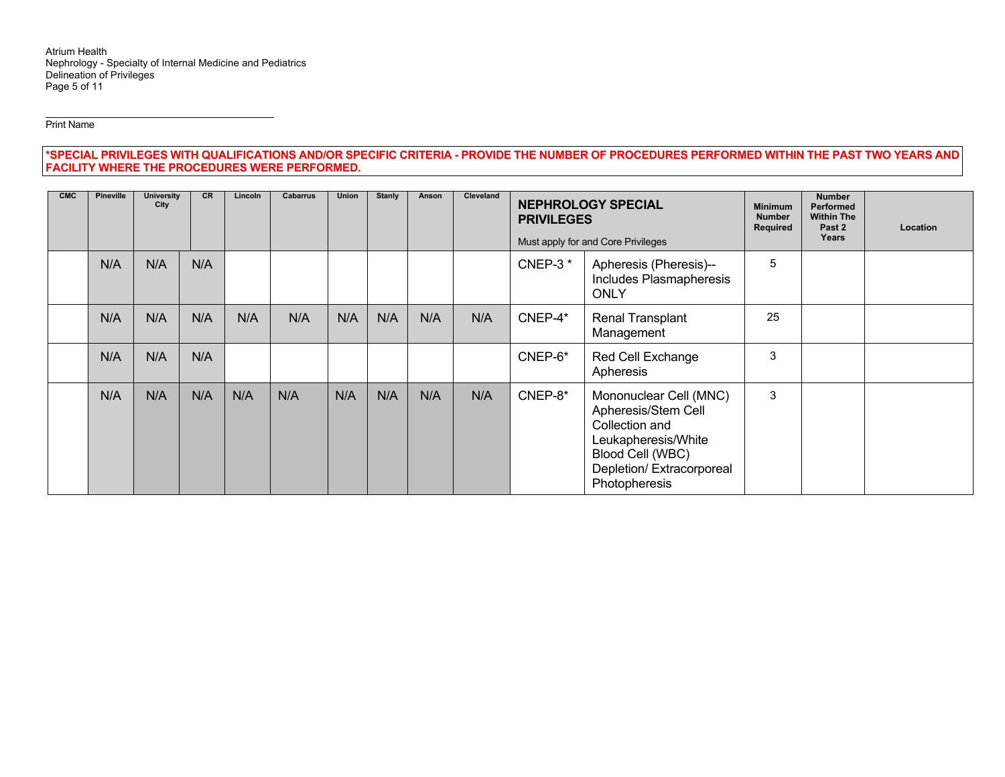Atrium Health Nephrology - Specialty of Internal Medicine and Pediatrics Delineation of Privileges Page 5 of 11

Print Name

**\*SPECIAL PRIVILEGES WITH QUALIFICATIONS AND/OR SPECIFIC CRITERIA - PROVIDE THE NUMBER OF PROCEDURES PERFORMED WITHIN THE PAST TWO YEARS AND FACILITY WHERE THE PROCEDURES WERE PERFORMED.**

| <b>CMC</b> | <b>Pineville</b> | University<br>City | <b>CR</b> | Lincoln | <b>Cabarrus</b> | Union | <b>Stanly</b> | Anson | Cleveland | <b>NEPHROLOGY SPECIAL</b><br><b>PRIVILEGES</b><br>Must apply for and Core Privileges |                                                                                                                                                         | <b>Minimum</b><br><b>Number</b><br>Required | <b>Number</b><br>Performed<br><b>Within The</b><br>Past 2<br>Years | Location |
|------------|------------------|--------------------|-----------|---------|-----------------|-------|---------------|-------|-----------|--------------------------------------------------------------------------------------|---------------------------------------------------------------------------------------------------------------------------------------------------------|---------------------------------------------|--------------------------------------------------------------------|----------|
|            | N/A              | N/A                | N/A       |         |                 |       |               |       |           | CNEP-3 $*$                                                                           | Apheresis (Pheresis)--<br>Includes Plasmapheresis<br><b>ONLY</b>                                                                                        | 5                                           |                                                                    |          |
|            | N/A              | N/A                | N/A       | N/A     | N/A             | N/A   | N/A           | N/A   | N/A       | CNEP-4*                                                                              | <b>Renal Transplant</b><br>Management                                                                                                                   | 25                                          |                                                                    |          |
|            | N/A              | N/A                | N/A       |         |                 |       |               |       |           | CNEP-6*                                                                              | Red Cell Exchange<br>Apheresis                                                                                                                          | 3                                           |                                                                    |          |
|            | N/A              | N/A                | N/A       | N/A     | N/A             | N/A   | N/A           | N/A   | N/A       | CNEP-8*                                                                              | Mononuclear Cell (MNC)<br>Apheresis/Stem Cell<br>Collection and<br>Leukapheresis/White<br>Blood Cell (WBC)<br>Depletion/Extracorporeal<br>Photopheresis | 3                                           |                                                                    |          |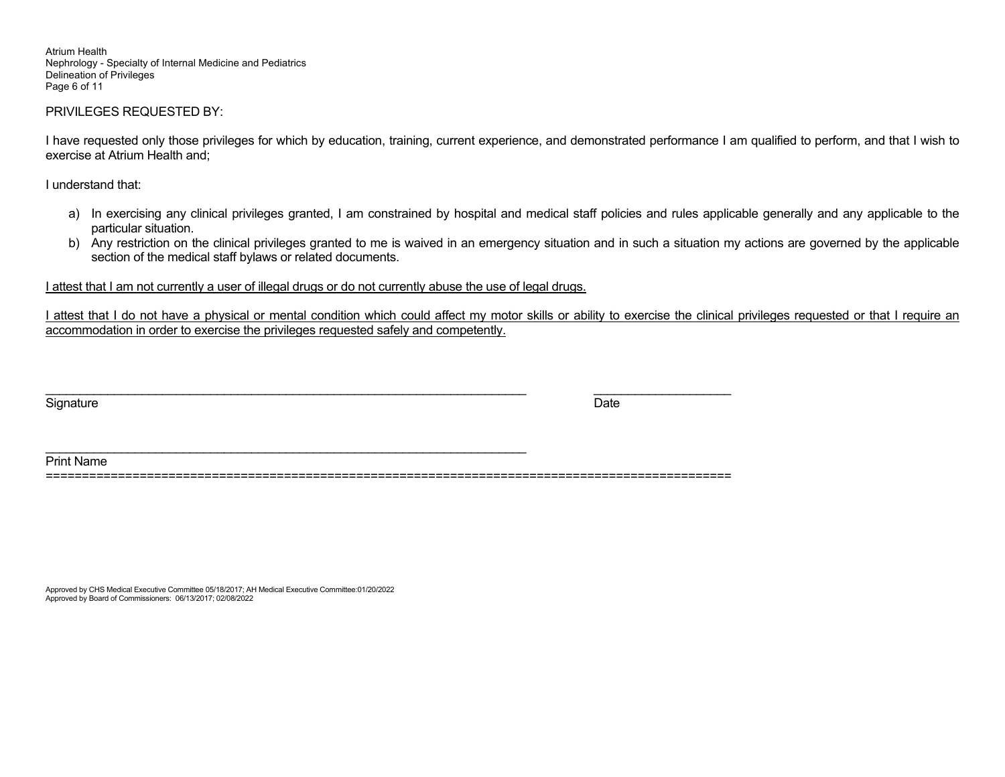Atrium Health Nephrology - Specialty of Internal Medicine and Pediatrics Delineation of Privileges Page 6 of 11

#### PRIVILEGES REQUESTED BY:

I have requested only those privileges for which by education, training, current experience, and demonstrated performance I am qualified to perform, and that I wish to exercise at Atrium Health and;

I understand that:

- a) In exercising any clinical privileges granted, I am constrained by hospital and medical staff policies and rules applicable generally and any applicable to the particular situation.
- b) Any restriction on the clinical privileges granted to me is waived in an emergency situation and in such a situation my actions are governed by the applicable section of the medical staff bylaws or related documents.

I attest that I am not currently a user of illegal drugs or do not currently abuse the use of legal drugs.

\_\_\_\_\_\_\_\_\_\_\_\_\_\_\_\_\_\_\_\_\_\_\_\_\_\_\_\_\_\_\_\_\_\_\_\_\_\_\_\_\_\_\_\_\_\_\_\_\_\_\_\_\_\_\_\_\_\_\_\_\_\_\_\_\_\_\_\_\_\_

I attest that I do not have a physical or mental condition which could affect my motor skills or ability to exercise the clinical privileges requested or that I require an accommodation in order to exercise the privileges requested safely and competently.

Signature Date Date of the Signature Date of the Date of the Date of the Date of the Date of the Date of the D

Print Name

===============================================================================================

\_\_\_\_\_\_\_\_\_\_\_\_\_\_\_\_\_\_\_\_\_\_\_\_\_\_\_\_\_\_\_\_\_\_\_\_\_\_\_\_\_\_\_\_\_\_\_\_\_\_\_\_\_\_\_\_\_\_\_\_\_\_\_\_\_\_\_\_\_\_ \_\_\_\_\_\_\_\_\_\_\_\_\_\_\_\_\_\_\_\_

Approved by CHS Medical Executive Committee 05/18/2017; AH Medical Executive Committee:01/20/2022 Approved by Board of Commissioners: 06/13/2017; 02/08/2022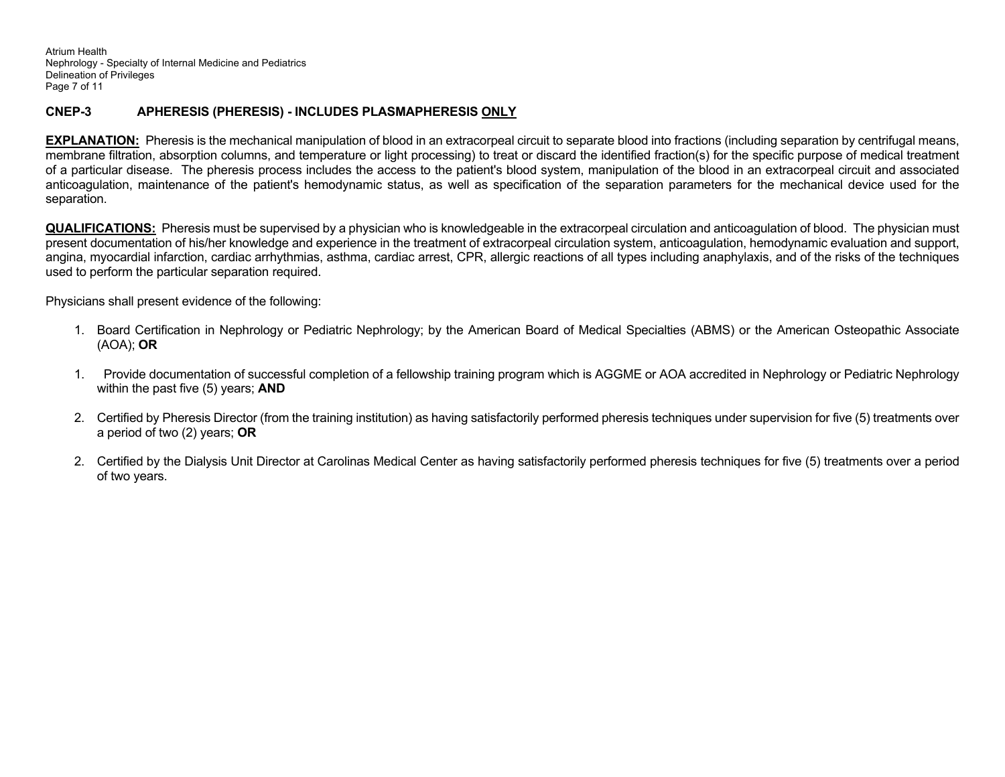Atrium Health Nephrology - Specialty of Internal Medicine and Pediatrics Delineation of Privileges Page 7 of 11

### **CNEP-3 APHERESIS (PHERESIS) - INCLUDES PLASMAPHERESIS ONLY**

**EXPLANATION:** Pheresis is the mechanical manipulation of blood in an extracorpeal circuit to separate blood into fractions (including separation by centrifugal means, membrane filtration, absorption columns, and temperature or light processing) to treat or discard the identified fraction(s) for the specific purpose of medical treatment of a particular disease. The pheresis process includes the access to the patient's blood system, manipulation of the blood in an extracorpeal circuit and associated anticoagulation, maintenance of the patient's hemodynamic status, as well as specification of the separation parameters for the mechanical device used for the separation.

**QUALIFICATIONS:** Pheresis must be supervised by a physician who is knowledgeable in the extracorpeal circulation and anticoagulation of blood. The physician must present documentation of his/her knowledge and experience in the treatment of extracorpeal circulation system, anticoagulation, hemodynamic evaluation and support, angina, myocardial infarction, cardiac arrhythmias, asthma, cardiac arrest, CPR, allergic reactions of all types including anaphylaxis, and of the risks of the techniques used to perform the particular separation required.

Physicians shall present evidence of the following:

- 1. Board Certification in Nephrology or Pediatric Nephrology; by the American Board of Medical Specialties (ABMS) or the American Osteopathic Associate (AOA); **OR**
- 1. Provide documentation of successful completion of a fellowship training program which is AGGME or AOA accredited in Nephrology or Pediatric Nephrology within the past five (5) years; **AND**
- 2. Certified by Pheresis Director (from the training institution) as having satisfactorily performed pheresis techniques under supervision for five (5) treatments over a period of two (2) years; **OR**
- 2. Certified by the Dialysis Unit Director at Carolinas Medical Center as having satisfactorily performed pheresis techniques for five (5) treatments over a period of two years.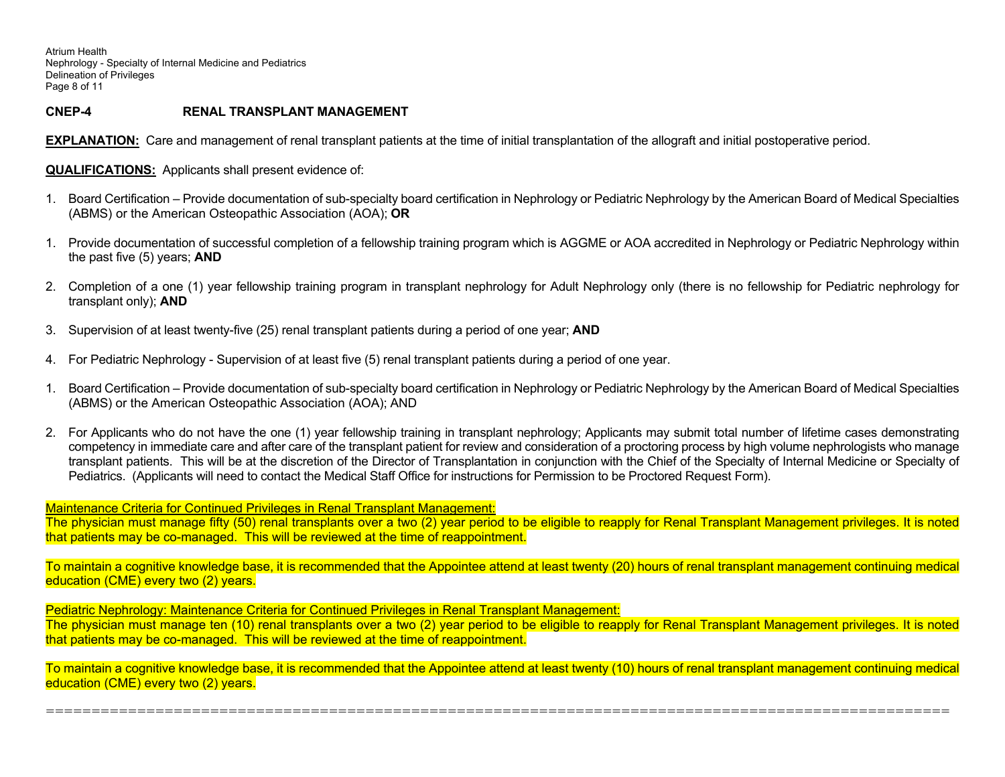Atrium Health Nephrology - Specialty of Internal Medicine and Pediatrics Delineation of Privileges Page 8 of 11

## **CNEP-4 RENAL TRANSPLANT MANAGEMENT**

**EXPLANATION:** Care and management of renal transplant patients at the time of initial transplantation of the allograft and initial postoperative period.

**QUALIFICATIONS:** Applicants shall present evidence of:

- 1. Board Certification Provide documentation of sub-specialty board certification in Nephrology or Pediatric Nephrology by the American Board of Medical Specialties (ABMS) or the American Osteopathic Association (AOA); **OR**
- 1. Provide documentation of successful completion of a fellowship training program which is AGGME or AOA accredited in Nephrology or Pediatric Nephrology within the past five (5) years; **AND**
- 2. Completion of a one (1) year fellowship training program in transplant nephrology for Adult Nephrology only (there is no fellowship for Pediatric nephrology for transplant only); **AND**
- 3. Supervision of at least twenty-five (25) renal transplant patients during a period of one year; **AND**
- 4. For Pediatric Nephrology Supervision of at least five (5) renal transplant patients during a period of one year.
- 1. Board Certification Provide documentation of sub-specialty board certification in Nephrology or Pediatric Nephrology by the American Board of Medical Specialties (ABMS) or the American Osteopathic Association (AOA); AND
- 2. For Applicants who do not have the one (1) year fellowship training in transplant nephrology; Applicants may submit total number of lifetime cases demonstrating competency in immediate care and after care of the transplant patient for review and consideration of a proctoring process by high volume nephrologists who manage transplant patients. This will be at the discretion of the Director of Transplantation in conjunction with the Chief of the Specialty of Internal Medicine or Specialty of Pediatrics. (Applicants will need to contact the Medical Staff Office for instructions for Permission to be Proctored Request Form).

Maintenance Criteria for Continued Privileges in Renal Transplant Management:

The physician must manage fifty (50) renal transplants over a two (2) year period to be eligible to reapply for Renal Transplant Management privileges. It is noted that patients may be co-managed. This will be reviewed at the time of reappointment.

To maintain a cognitive knowledge base, it is recommended that the Appointee attend at least twenty (20) hours of renal transplant management continuing medical education (CME) every two (2) years.

Pediatric Nephrology: Maintenance Criteria for Continued Privileges in Renal Transplant Management: The physician must manage ten (10) renal transplants over a two (2) year period to be eligible to reapply for Renal Transplant Management privileges. It is noted that patients may be co-managed. This will be reviewed at the time of reappointment.

To maintain a cognitive knowledge base, it is recommended that the Appointee attend at least twenty (10) hours of renal transplant management continuing medical education (CME) every two (2) years.

===================================================================================================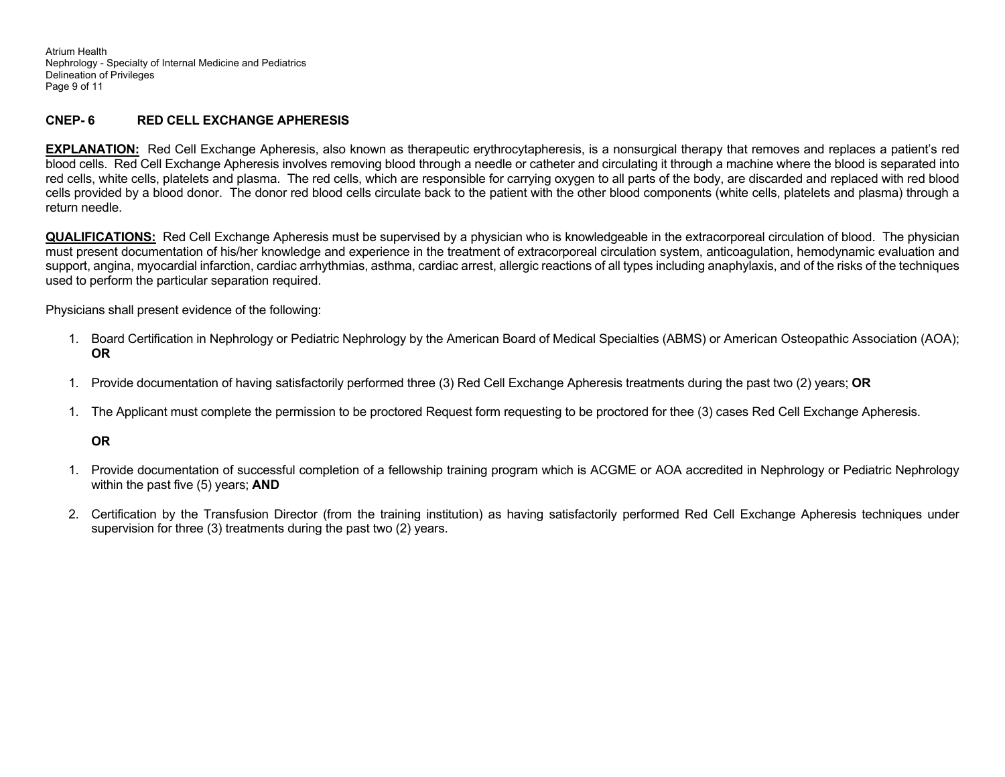Atrium Health Nephrology - Specialty of Internal Medicine and Pediatrics Delineation of Privileges Page 9 of 11

### **CNEP- 6 RED CELL EXCHANGE APHERESIS**

**EXPLANATION:** Red Cell Exchange Apheresis, also known as therapeutic erythrocytapheresis, is a nonsurgical therapy that removes and replaces a patient's red blood cells. Red Cell Exchange Apheresis involves removing blood through a needle or catheter and circulating it through a machine where the blood is separated into red cells, white cells, platelets and plasma. The red cells, which are responsible for carrying oxygen to all parts of the body, are discarded and replaced with red blood cells provided by a blood donor. The donor red blood cells circulate back to the patient with the other blood components (white cells, platelets and plasma) through a return needle.

**QUALIFICATIONS:** Red Cell Exchange Apheresis must be supervised by a physician who is knowledgeable in the extracorporeal circulation of blood. The physician must present documentation of his/her knowledge and experience in the treatment of extracorporeal circulation system, anticoagulation, hemodynamic evaluation and support, angina, myocardial infarction, cardiac arrhythmias, asthma, cardiac arrest, allergic reactions of all types including anaphylaxis, and of the risks of the techniques used to perform the particular separation required.

Physicians shall present evidence of the following:

- 1. Board Certification in Nephrology or Pediatric Nephrology by the American Board of Medical Specialties (ABMS) or American Osteopathic Association (AOA); **OR**
- 1. Provide documentation of having satisfactorily performed three (3) Red Cell Exchange Apheresis treatments during the past two (2) years; **OR**
- 1. The Applicant must complete the permission to be proctored Request form requesting to be proctored for thee (3) cases Red Cell Exchange Apheresis.

#### **OR**

- 1. Provide documentation of successful completion of a fellowship training program which is ACGME or AOA accredited in Nephrology or Pediatric Nephrology within the past five (5) years; **AND**
- 2. Certification by the Transfusion Director (from the training institution) as having satisfactorily performed Red Cell Exchange Apheresis techniques under supervision for three (3) treatments during the past two (2) years.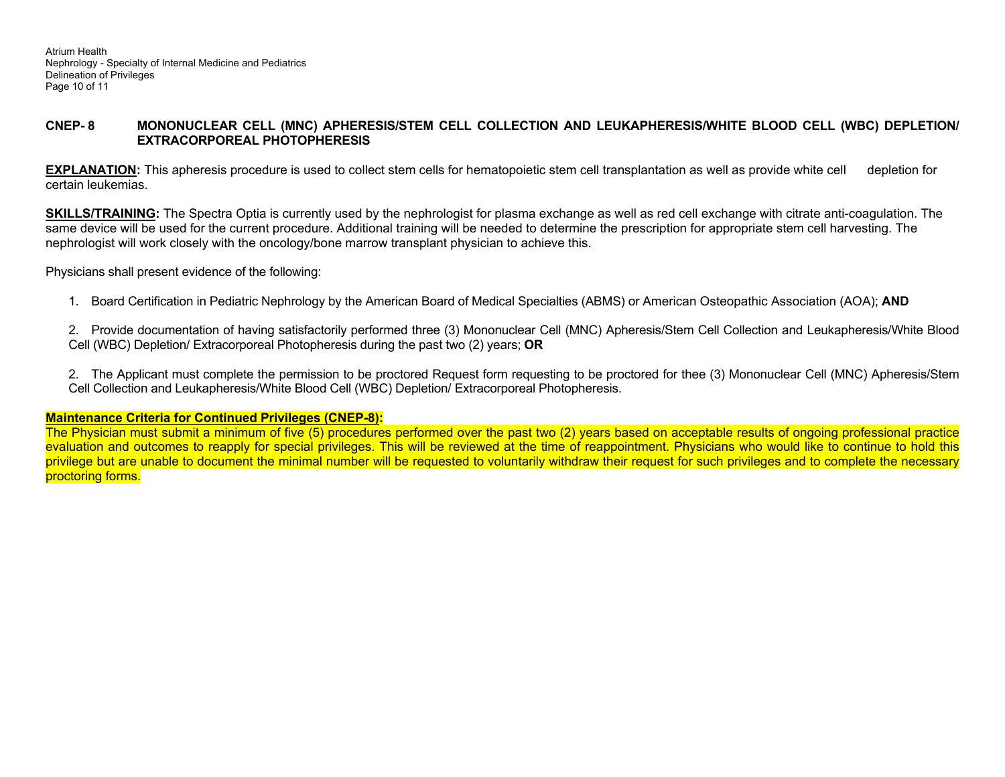### **CNEP- 8 MONONUCLEAR CELL (MNC) APHERESIS/STEM CELL COLLECTION AND LEUKAPHERESIS/WHITE BLOOD CELL (WBC) DEPLETION/ EXTRACORPOREAL PHOTOPHERESIS**

**EXPLANATION:** This apheresis procedure is used to collect stem cells for hematopoietic stem cell transplantation as well as provide white cell depletion for certain leukemias.

**SKILLS/TRAINING:** The Spectra Optia is currently used by the nephrologist for plasma exchange as well as red cell exchange with citrate anti-coagulation. The same device will be used for the current procedure. Additional training will be needed to determine the prescription for appropriate stem cell harvesting. The nephrologist will work closely with the oncology/bone marrow transplant physician to achieve this.

Physicians shall present evidence of the following:

1. Board Certification in Pediatric Nephrology by the American Board of Medical Specialties (ABMS) or American Osteopathic Association (AOA); **AND** 

2. Provide documentation of having satisfactorily performed three (3) Mononuclear Cell (MNC) Apheresis/Stem Cell Collection and Leukapheresis/White Blood Cell (WBC) Depletion/ Extracorporeal Photopheresis during the past two (2) years; **OR** 

2. The Applicant must complete the permission to be proctored Request form requesting to be proctored for thee (3) Mononuclear Cell (MNC) Apheresis/Stem Cell Collection and Leukapheresis/White Blood Cell (WBC) Depletion/ Extracorporeal Photopheresis.

#### **Maintenance Criteria for Continued Privileges (CNEP-8):**

The Physician must submit a minimum of five (5) procedures performed over the past two (2) years based on acceptable results of ongoing professional practice evaluation and outcomes to reapply for special privileges. This will be reviewed at the time of reappointment. Physicians who would like to continue to hold this privilege but are unable to document the minimal number will be requested to voluntarily withdraw their request for such privileges and to complete the necessary proctoring forms.